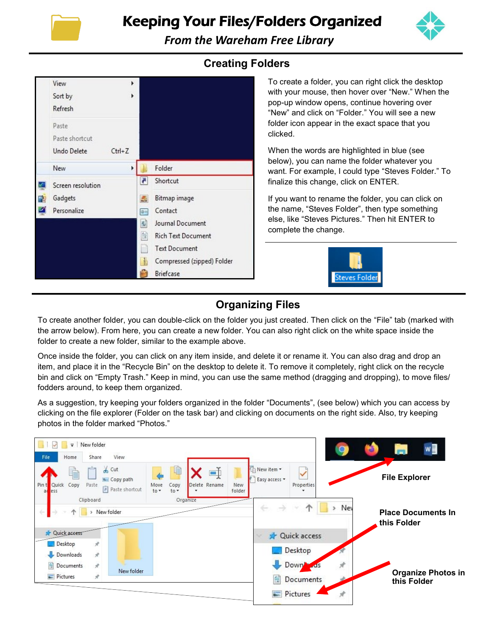

Keeping Your Files/Folders Organized



*From the Wareham Free Library* 

|  | View              | r          |                                                              |
|--|-------------------|------------|--------------------------------------------------------------|
|  | Sort by           | ۱          |                                                              |
|  | Refresh           |            |                                                              |
|  | Paste             |            |                                                              |
|  | Paste shortcut    |            |                                                              |
|  | Undo Delete       | $Ctrl + Z$ |                                                              |
|  | New               | k          | Folder                                                       |
|  | Screen resolution |            | ë.<br>Shortcut                                               |
|  | Gadgets           |            | L.<br>Bitmap image                                           |
|  | Personalize       |            | Contact<br>$@=$                                              |
|  |                   |            | 重<br>Journal Document                                        |
|  |                   |            | $\frac{A_{\alpha\beta}}{\pm E}$<br><b>Rich Text Document</b> |
|  |                   |            | m<br><b>Text Document</b>                                    |
|  |                   |            | $\frac{1}{2}$<br>Compressed (zipped) Folder                  |
|  |                   |            | <b>Briefcase</b>                                             |

## **Creating Folders**

To create a folder, you can right click the desktop with your mouse, then hover over "New." When the pop-up window opens, continue hovering over "New" and click on "Folder." You will see a new folder icon appear in the exact space that you clicked.

When the words are highlighted in blue (see below), you can name the folder whatever you want. For example, I could type "Steves Folder." To finalize this change, click on ENTER.

If you want to rename the folder, you can click on the name, "Steves Folder", then type something else, like "Steves Pictures." Then hit ENTER to complete the change.



# **Organizing Files**

To create another folder, you can double-click on the folder you just created. Then click on the "File" tab (marked with the arrow below). From here, you can create a new folder. You can also right click on the white space inside the folder to create a new folder, similar to the example above.

Once inside the folder, you can click on any item inside, and delete it or rename it. You can also drag and drop an item, and place it in the "Recycle Bin" on the desktop to delete it. To remove it completely, right click on the recycle bin and click on "Empty Trash." Keep in mind, you can use the same method (dragging and dropping), to move files/ fodders around, to keep them organized.

As a suggestion, try keeping your folders organized in the folder "Documents", (see below) which you can access by clicking on the file explorer (Folder on the task bar) and clicking on documents on the right side. Also, try keeping photos in the folder marked "Photos."